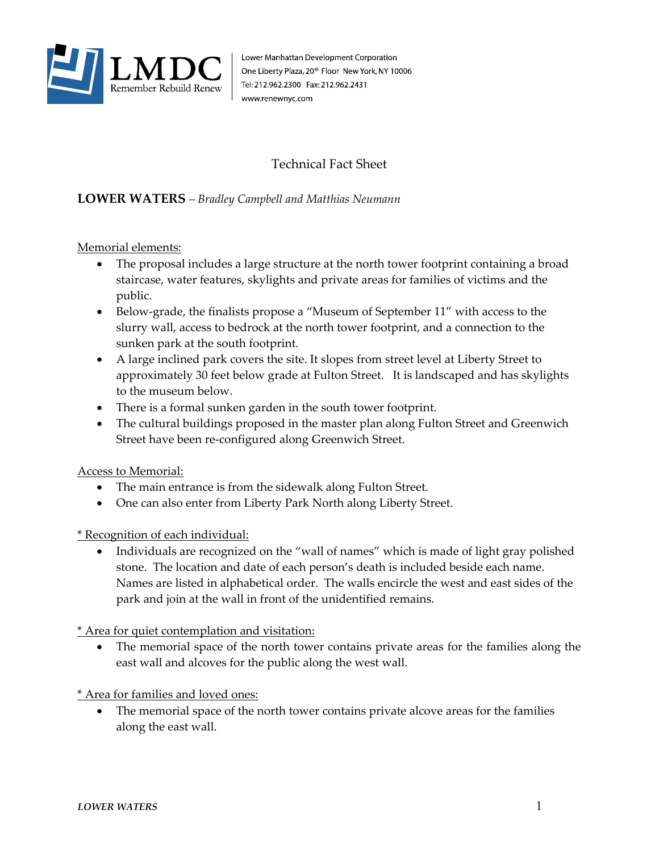

Lower Manhattan Development Corporation One Liberty Plaza, 20<sup>th</sup> Floor New York, NY 10006 Tel: 212.962.2300 Fax: 212.962.2431 www.renewnyc.com

## Technical Fact Sheet

## **LOWER WATERS** *– Bradley Campbell and Matthias Neumann*

Memorial elements:

- The proposal includes a large structure at the north tower footprint containing a broad staircase, water features, skylights and private areas for families of victims and the public.
- Below-grade, the finalists propose a "Museum of September 11" with access to the slurry wall, access to bedrock at the north tower footprint, and a connection to the sunken park at the south footprint.
- A large inclined park covers the site. It slopes from street level at Liberty Street to approximately 30 feet below grade at Fulton Street. It is landscaped and has skylights to the museum below.
- There is a formal sunken garden in the south tower footprint.
- The cultural buildings proposed in the master plan along Fulton Street and Greenwich Street have been re-configured along Greenwich Street.

## Access to Memorial:

- The main entrance is from the sidewalk along Fulton Street.
- One can also enter from Liberty Park North along Liberty Street.

\* Recognition of each individual:

• Individuals are recognized on the "wall of names" which is made of light gray polished stone. The location and date of each person's death is included beside each name. Names are listed in alphabetical order. The walls encircle the west and east sides of the park and join at the wall in front of the unidentified remains.

\* Area for quiet contemplation and visitation:

The memorial space of the north tower contains private areas for the families along the east wall and alcoves for the public along the west wall.

\* Area for families and loved ones:

The memorial space of the north tower contains private alcove areas for the families along the east wall.